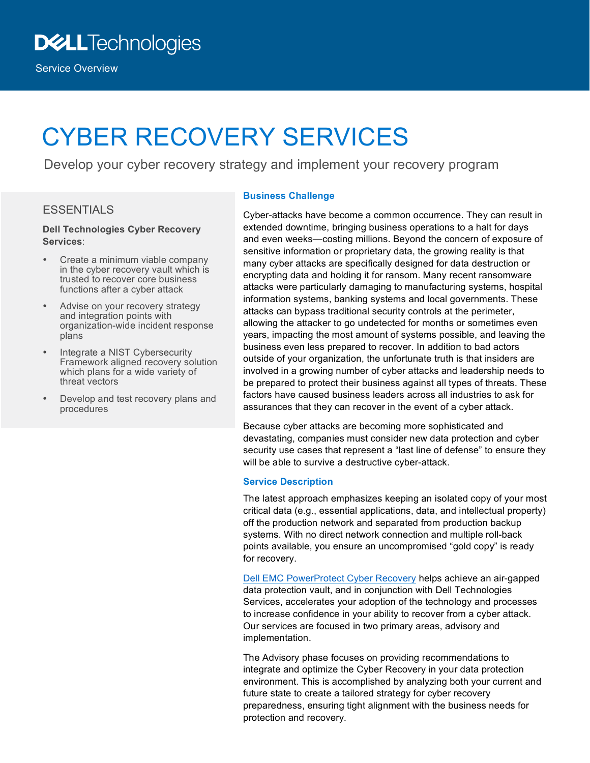Service Overview

# CYBER RECOVERY SERVICES

Develop your cyber recovery strategy and implement your recovery program

### **ESSENTIALS**

#### **Dell Technologies Cyber Recovery Services**:

- Create a minimum viable company in the cyber recovery vault which is trusted to recover core business functions after a cyber attack
- Advise on your recovery strategy and integration points with organization-wide incident response plans
- Integrate a NIST Cybersecurity Framework aligned recovery solution which plans for a wide variety of threat vectors
- Develop and test recovery plans and procedures

#### **Business Challenge**

Cyber-attacks have become a common occurrence. They can result in extended downtime, bringing business operations to a halt for days and even weeks—costing millions. Beyond the concern of exposure of sensitive information or proprietary data, the growing reality is that many cyber attacks are specifically designed for data destruction or encrypting data and holding it for ransom. Many recent ransomware attacks were particularly damaging to manufacturing systems, hospital information systems, banking systems and local governments. These attacks can bypass traditional security controls at the perimeter, allowing the attacker to go undetected for months or sometimes even years, impacting the most amount of systems possible, and leaving the business even less prepared to recover. In addition to bad actors outside of your organization, the unfortunate truth is that insiders are involved in a growing number of cyber attacks and leadership needs to be prepared to protect their business against all types of threats. These factors have caused business leaders across all industries to ask for assurances that they can recover in the event of a cyber attack.

Because cyber attacks are becoming more sophisticated and devastating, companies must consider new data protection and cyber security use cases that represent a "last line of defense" to ensure they will be able to survive a destructive cyber-attack.

#### **Service Description**

The latest approach emphasizes keeping an isolated copy of your most critical data (e.g., essential applications, data, and intellectual property) off the production network and separated from production backup systems. With no direct network connection and multiple roll-back points available, you ensure an uncompromised "gold copy" is ready for recovery.

Dell EMC PowerProtect Cyber Recovery helps achieve an air-gapped data protection vault, and in conjunction with Dell Technologies Services, accelerates your adoption of the technology and processes to increase confidence in your ability to recover from a cyber attack. Our services are focused in two primary areas, advisory and implementation.

The Advisory phase focuses on providing recommendations to integrate and optimize the Cyber Recovery in your data protection environment. This is accomplished by analyzing both your current and future state to create a tailored strategy for cyber recovery preparedness, ensuring tight alignment with the business needs for protection and recovery.